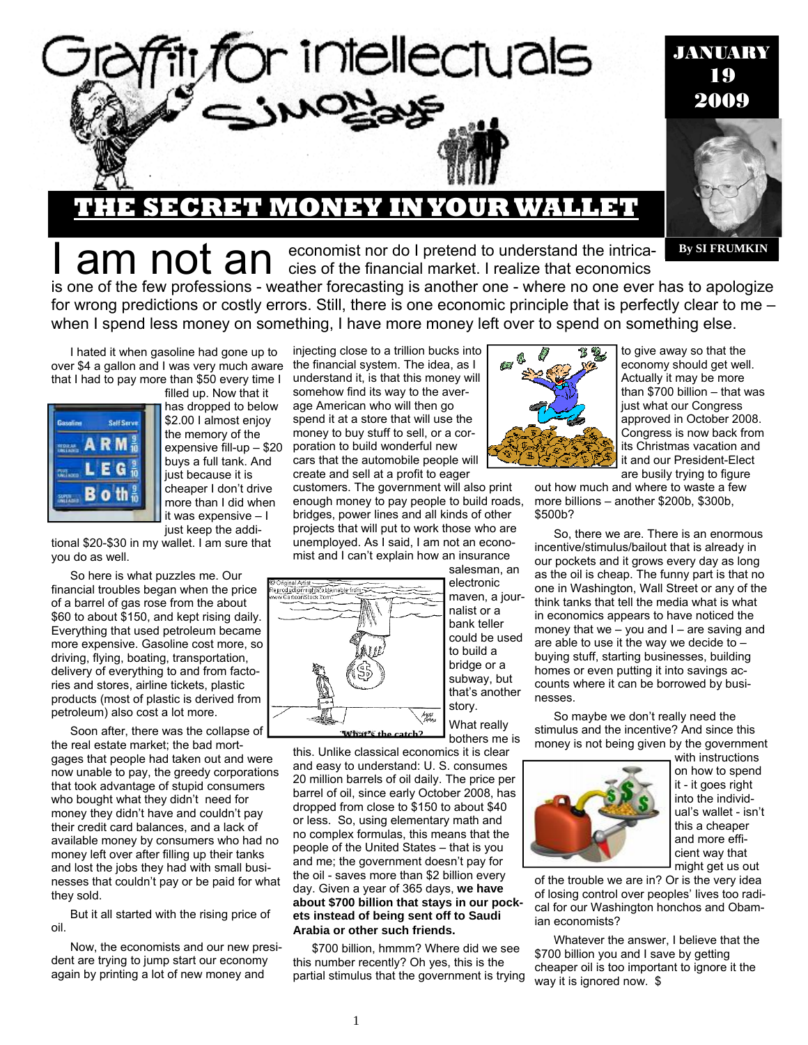

## **THE SECRET MONEY IN YOUR WALLET**

**By SI FRUMKIN**

I am not an economist nor do I pretend to understand the intrica-<br>I am not an economics of the financial market. I realize that economics is one of the few professions - weather forecasting is another one - where no one ever has to apologize for wrong predictions or costly errors. Still, there is one economic principle that is perfectly clear to me –

when I spend less money on something, I have more money left over to spend on something else.

I hated it when gasoline had gone up to over \$4 a gallon and I was very much aware that I had to pay more than \$50 every time I



filled up. Now that it has dropped to below \$2.00 I almost enjoy the memory of the expensive fill-up – \$20 buys a full tank. And just because it is cheaper I don't drive more than I did when it was expensive – I just keep the addi-

tional \$20-\$30 in my wallet. I am sure that you do as well.

So here is what puzzles me. Our financial troubles began when the price of a barrel of gas rose from the about \$60 to about \$150, and kept rising daily. Everything that used petroleum became more expensive. Gasoline cost more, so driving, flying, boating, transportation, delivery of everything to and from factories and stores, airline tickets, plastic products (most of plastic is derived from petroleum) also cost a lot more.

Soon after, there was the collapse of the real estate market; the bad mortgages that people had taken out and were now unable to pay, the greedy corporations that took advantage of stupid consumers who bought what they didn't need for money they didn't have and couldn't pay their credit card balances, and a lack of available money by consumers who had no money left over after filling up their tanks and lost the jobs they had with small businesses that couldn't pay or be paid for what they sold.

But it all started with the rising price of oil.

Now, the economists and our new president are trying to jump start our economy again by printing a lot of new money and

injecting close to a trillion bucks into the financial system. The idea, as I understand it, is that this money will somehow find its way to the average American who will then go spend it at a store that will use the money to buy stuff to sell, or a corporation to build wonderful new cars that the automobile people will create and sell at a profit to eager customers. The government will also print

enough money to pay people to build roads, bridges, power lines and all kinds of other projects that will put to work those who are unemployed. As I said, I am not an economist and I can't explain how an insurance



salesman, an electronic maven, a journalist or a bank teller could be used to build a bridge or a subway, but that's another story.

What really bothers me is

this. Unlike classical economics it is clear and easy to understand: U. S. consumes 20 million barrels of oil daily. The price per barrel of oil, since early October 2008, has dropped from close to \$150 to about \$40 or less. So, using elementary math and no complex formulas, this means that the people of the United States – that is you and me; the government doesn't pay for the oil - saves more than \$2 billion every day. Given a year of 365 days, **we have about \$700 billion that stays in our pockets instead of being sent off to Saudi Arabia or other such friends.** 

\$700 billion, hmmm? Where did we see this number recently? Oh yes, this is the partial stimulus that the government is trying



to give away so that the economy should get well. Actually it may be more than \$700 billion – that was just what our Congress approved in October 2008. Congress is now back from its Christmas vacation and it and our President-Elect are busily trying to figure

out how much and where to waste a few more billions – another \$200b, \$300b, \$500b?

So, there we are. There is an enormous incentive/stimulus/bailout that is already in our pockets and it grows every day as long as the oil is cheap. The funny part is that no one in Washington, Wall Street or any of the think tanks that tell the media what is what in economics appears to have noticed the money that we – you and I – are saving and are able to use it the way we decide to – buying stuff, starting businesses, building homes or even putting it into savings accounts where it can be borrowed by businesses.

So maybe we don't really need the stimulus and the incentive? And since this money is not being given by the government



on how to spend it - it goes right into the individual's wallet - isn't this a cheaper and more efficient way that

of the trouble we are in? Or is the very idea of losing control over peoples' lives too radical for our Washington honchos and Obamian economists?

Whatever the answer, I believe that the \$700 billion you and I save by getting cheaper oil is too important to ignore it the way it is ignored now. \$

with instructions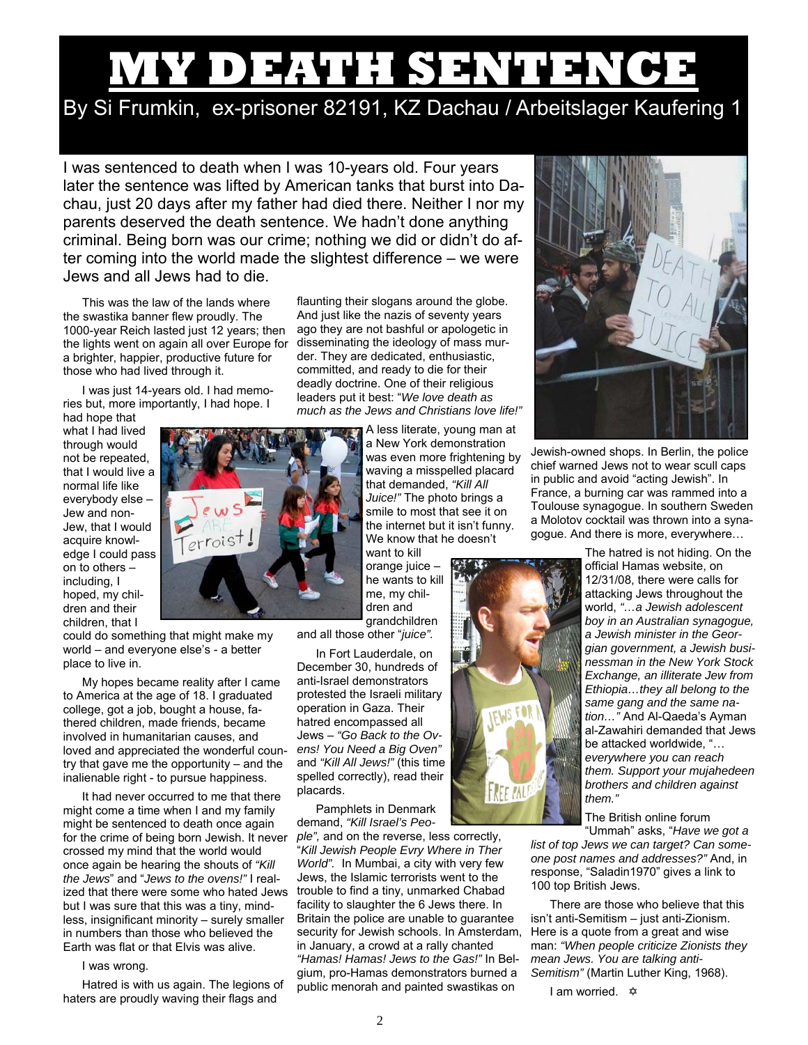# **MY DEATH SENTENCE**

# By Si Frumkin, ex-prisoner 82191, KZ Dachau / Arbeitslager Kaufering 1

I was sentenced to death when I was 10-years old. Four years later the sentence was lifted by American tanks that burst into Dachau, just 20 days after my father had died there. Neither I nor my parents deserved the death sentence. We hadn't done anything criminal. Being born was our crime; nothing we did or didn't do after coming into the world made the slightest difference – we were Jews and all Jews had to die.

This was the law of the lands where the swastika banner flew proudly. The 1000-year Reich lasted just 12 years; then the lights went on again all over Europe for a brighter, happier, productive future for those who had lived through it.

I was just 14-years old. I had memories but, more importantly, I had hope. I

had hope that what I had lived through would not be repeated, that I would live a normal life like everybody else – Jew and non-Jew, that I would acquire knowledge I could pass on to others – including, I hoped, my children and their children, that I

could do something that might make my world – and everyone else's - a better place to live in.

My hopes became reality after I came to America at the age of 18. I graduated college, got a job, bought a house, fathered children, made friends, became involved in humanitarian causes, and loved and appreciated the wonderful country that gave me the opportunity – and the inalienable right - to pursue happiness.

It had never occurred to me that there might come a time when I and my family might be sentenced to death once again for the crime of being born Jewish. It never crossed my mind that the world would once again be hearing the shouts of *"Kill the Jews*" and "*Jews to the ovens!"* I realized that there were some who hated Jews but I was sure that this was a tiny, mindless, insignificant minority – surely smaller in numbers than those who believed the Earth was flat or that Elvis was alive.

## I was wrong.

Hatred is with us again. The legions of haters are proudly waving their flags and

flaunting their slogans around the globe. And just like the nazis of seventy years ago they are not bashful or apologetic in disseminating the ideology of mass murder. They are dedicated, enthusiastic, committed, and ready to die for their deadly doctrine. One of their religious leaders put it best: "*We love death as much as the Jews and Christians love life!"* 

> A less literate, young man at a New York demonstration was even more frightening by waving a misspelled placard that demanded, *"Kill All Juice!"* The photo brings a smile to most that see it on the internet but it isn't funny. We know that he doesn't

want to kill orange juice – he wants to kill me, my children and grandchildren

and all those other "*juice".* 

In Fort Lauderdale, on December 30, hundreds of anti-Israel demonstrators protested the Israeli military operation in Gaza. Their hatred encompassed all Jews – *"Go Back to the Ovens! You Need a Big Oven"*  and *"Kill All Jews!"* (this time spelled correctly), read their placards.

Pamphlets in Denmark demand, *"Kill Israel's Peo-*

*ple",* and on the reverse, less correctly, "*Kill Jewish People Evry Where in Ther World".* In Mumbai, a city with very few Jews, the Islamic terrorists went to the trouble to find a tiny, unmarked Chabad facility to slaughter the 6 Jews there. In Britain the police are unable to guarantee security for Jewish schools. In Amsterdam, in January, a crowd at a rally chant*e*d *"Hamas! Hamas! Jews to the Gas!"* In Belgium, pro-Hamas demonstrators burned a public menorah and painted swastikas on



Jewish-owned shops. In Berlin, the police chief warned Jews not to wear scull caps in public and avoid "acting Jewish". In France, a burning car was rammed into a Toulouse synagogue. In southern Sweden a Molotov cocktail was thrown into a synagogue. And there is more, everywhere…

> The hatred is not hiding. On the official Hamas website, on 12/31/08, there were calls for attacking Jews throughout the world, *"…a Jewish adolescent boy in an Australian synagogue, a Jewish minister in the Georgian government, a Jewish businessman in the New York Stock Exchange, an illiterate Jew from Ethiopia…they all belong to the same gang and the same nation…"* And Al-Qaeda's Ayman al-Zawahiri demanded that Jews be attacked worldwide, "… *everywhere you can reach them. Support your mujahedeen brothers and children against them."*

The British online forum "Ummah" asks, "*Have we got a* 

*list of top Jews we can target? Can someone post names and addresses?"* And, in response, "Saladin1970" gives a link to 100 top British Jews.

There are those who believe that this isn't anti-Semitism – just anti-Zionism. Here is a quote from a great and wise man: *"When people criticize Zionists they mean Jews. You are talking anti-Semitism"* (Martin Luther King, 1968).

I am worried.  $\Leftrightarrow$ 

FML

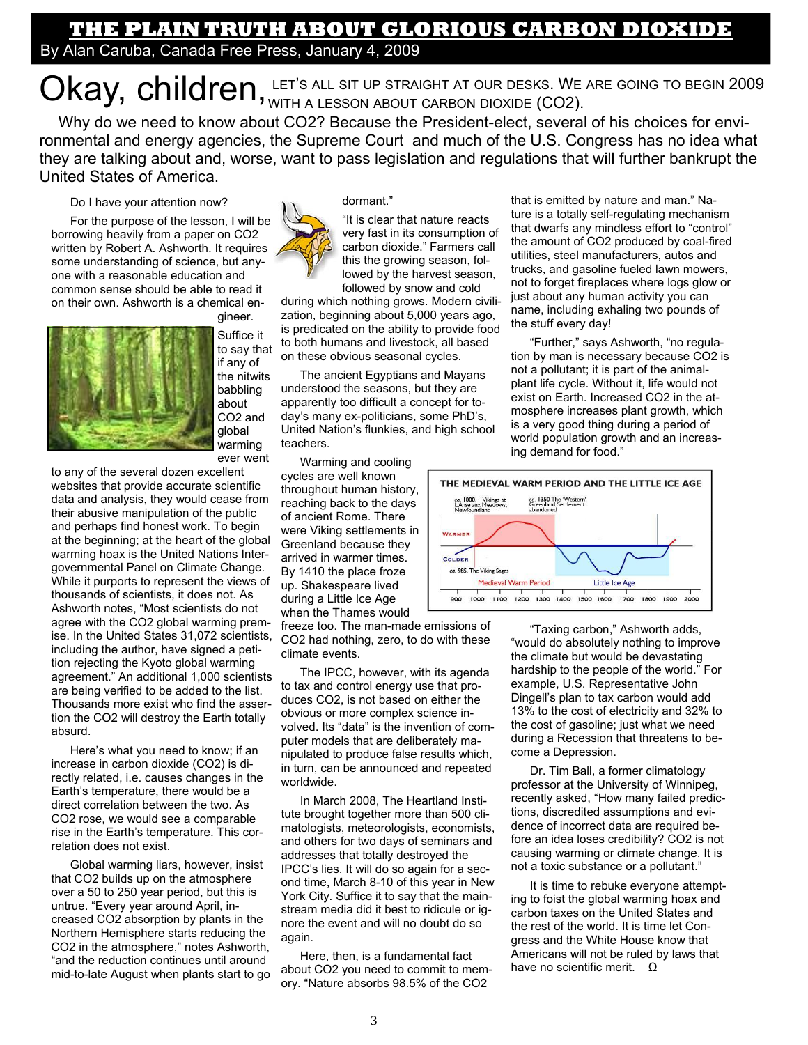## **THE PLAIN TRUTH ABOUT GLORIOUS CARBON DIOXIDE**  By Alan Caruba, Canada Free Press, January 4, 2009

Okay, children, LET's ALL SIT UP STRAIGHT AT OUR DESKS. WE ARE GOING TO BEGIN 2009

Why do we need to know about CO2? Because the President-elect, several of his choices for environmental and energy agencies, the Supreme Court and much of the U.S. Congress has no idea what they are talking about and, worse, want to pass legislation and regulations that will further bankrupt the United States of America.

### Do I have your attention now?

For the purpose of the lesson, I will be borrowing heavily from a paper on CO2 written by Robert A. Ashworth. It requires some understanding of science, but anyone with a reasonable education and common sense should be able to read it on their own. Ashworth is a chemical en-



gineer. Suffice it to say that if any of the nitwits babbling about CO2 and global warming

ever went

to any of the several dozen excellent websites that provide accurate scientific data and analysis, they would cease from their abusive manipulation of the public and perhaps find honest work. To begin at the beginning; at the heart of the global warming hoax is the United Nations Intergovernmental Panel on Climate Change. While it purports to represent the views of thousands of scientists, it does not. As Ashworth notes, "Most scientists do not agree with the CO2 global warming premise. In the United States 31,072 scientists, including the author, have signed a petition rejecting the Kyoto global warming agreement." An additional 1,000 scientists are being verified to be added to the list. Thousands more exist who find the assertion the CO2 will destroy the Earth totally absurd.

Here's what you need to know; if an increase in carbon dioxide (CO2) is directly related, i.e. causes changes in the Earth's temperature, there would be a direct correlation between the two. As CO2 rose, we would see a comparable rise in the Earth's temperature. This correlation does not exist.

Global warming liars, however, insist that CO2 builds up on the atmosphere over a 50 to 250 year period, but this is untrue. "Every year around April, increased CO2 absorption by plants in the Northern Hemisphere starts reducing the CO2 in the atmosphere," notes Ashworth, "and the reduction continues until around mid-to-late August when plants start to go



dormant."

"It is clear that nature reacts very fast in its consumption of carbon dioxide." Farmers call this the growing season, followed by the harvest season, followed by snow and cold

during which nothing grows. Modern civilization, beginning about 5,000 years ago, is predicated on the ability to provide food to both humans and livestock, all based on these obvious seasonal cycles.

The ancient Egyptians and Mayans understood the seasons, but they are apparently too difficult a concept for today's many ex-politicians, some PhD's, United Nation's flunkies, and high school teachers.

Warming and cooling cycles are well known throughout human history, reaching back to the days of ancient Rome. There were Viking settlements in Greenland because they arrived in warmer times. By 1410 the place froze up. Shakespeare lived during a Little Ice Age when the Thames would

freeze too. The man-made emissions of CO2 had nothing, zero, to do with these climate events.

The IPCC, however, with its agenda to tax and control energy use that produces CO2, is not based on either the obvious or more complex science involved. Its "data" is the invention of computer models that are deliberately manipulated to produce false results which, in turn, can be announced and repeated worldwide.

In March 2008, The Heartland Institute brought together more than 500 climatologists, meteorologists, economists, and others for two days of seminars and addresses that totally destroyed the IPCC's lies. It will do so again for a second time, March 8-10 of this year in New York City. Suffice it to say that the mainstream media did it best to ridicule or ignore the event and will no doubt do so again.

Here, then, is a fundamental fact about CO2 you need to commit to memory. "Nature absorbs 98.5% of the CO2

that is emitted by nature and man." Nature is a totally self-regulating mechanism that dwarfs any mindless effort to "control" the amount of CO2 produced by coal-fired utilities, steel manufacturers, autos and trucks, and gasoline fueled lawn mowers, not to forget fireplaces where logs glow or just about any human activity you can name, including exhaling two pounds of the stuff every day!

"Further," says Ashworth, "no regulation by man is necessary because CO2 is not a pollutant; it is part of the animalplant life cycle. Without it, life would not exist on Earth. Increased CO2 in the atmosphere increases plant growth, which is a very good thing during a period of world population growth and an increasing demand for food."



"Taxing carbon," Ashworth adds, "would do absolutely nothing to improve the climate but would be devastating hardship to the people of the world." For example, U.S. Representative John Dingell's plan to tax carbon would add 13% to the cost of electricity and 32% to the cost of gasoline; just what we need during a Recession that threatens to become a Depression.

Dr. Tim Ball, a former climatology professor at the University of Winnipeg, recently asked, "How many failed predictions, discredited assumptions and evidence of incorrect data are required before an idea loses credibility? CO2 is not causing warming or climate change. It is not a toxic substance or a pollutant."

It is time to rebuke everyone attempting to foist the global warming hoax and carbon taxes on the United States and the rest of the world. It is time let Congress and the White House know that Americans will not be ruled by laws that have no scientific merit. Ω